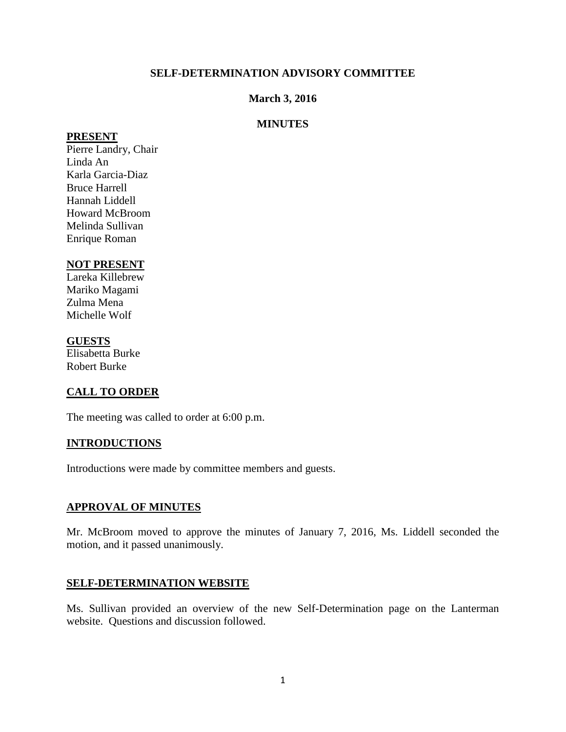#### **SELF-DETERMINATION ADVISORY COMMITTEE**

#### **March 3, 2016**

#### **MINUTES**

#### **PRESENT**

Pierre Landry, Chair Linda An Karla Garcia-Diaz Bruce Harrell Hannah Liddell Howard McBroom Melinda Sullivan Enrique Roman

#### **NOT PRESENT**

Lareka Killebrew Mariko Magami Zulma Mena Michelle Wolf

#### **GUESTS**

Elisabetta Burke Robert Burke

# **CALL TO ORDER**

The meeting was called to order at 6:00 p.m.

# **INTRODUCTIONS**

Introductions were made by committee members and guests.

#### **APPROVAL OF MINUTES**

Mr. McBroom moved to approve the minutes of January 7, 2016, Ms. Liddell seconded the motion, and it passed unanimously.

#### **SELF-DETERMINATION WEBSITE**

Ms. Sullivan provided an overview of the new Self-Determination page on the Lanterman website. Questions and discussion followed.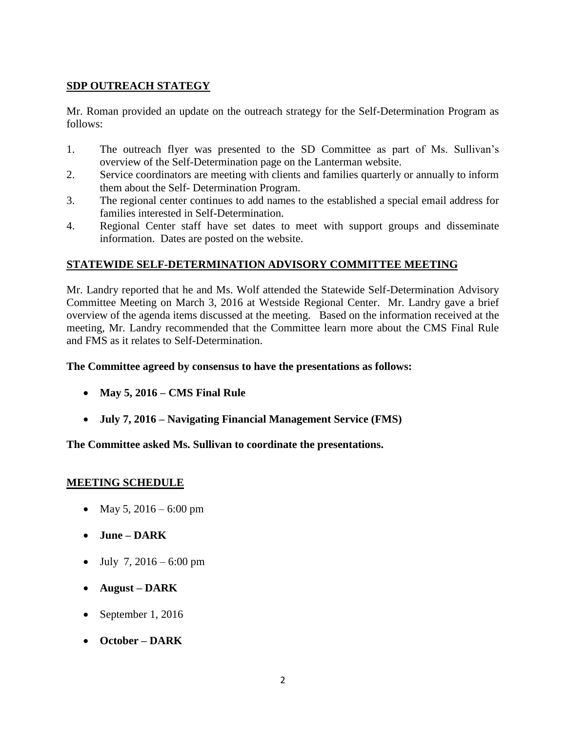# **SDP OUTREACH STATEGY**

Mr. Roman provided an update on the outreach strategy for the Self-Determination Program as follows:

- 1. The outreach flyer was presented to the SD Committee as part of Ms. Sullivan's overview of the Self-Determination page on the Lanterman website.
- 2. Service coordinators are meeting with clients and families quarterly or annually to inform them about the Self- Determination Program.
- 3. The regional center continues to add names to the established a special email address for families interested in Self-Determination.
- 4. Regional Center staff have set dates to meet with support groups and disseminate information. Dates are posted on the website.

# **STATEWIDE SELF-DETERMINATION ADVISORY COMMITTEE MEETING**

Mr. Landry reported that he and Ms. Wolf attended the Statewide Self-Determination Advisory Committee Meeting on March 3, 2016 at Westside Regional Center. Mr. Landry gave a brief overview of the agenda items discussed at the meeting. Based on the information received at the meeting, Mr. Landry recommended that the Committee learn more about the CMS Final Rule and FMS as it relates to Self-Determination.

### **The Committee agreed by consensus to have the presentations as follows:**

- **May 5, 2016 – CMS Final Rule**
- **July 7, 2016 – Navigating Financial Management Service (FMS)**

**The Committee asked Ms. Sullivan to coordinate the presentations.** 

# **MEETING SCHEDULE**

- May 5,  $2016 6:00$  pm
- **June – DARK**
- $\bullet$  July 7, 2016 6:00 pm
- **August – DARK**
- September 1, 2016
- **October – DARK**